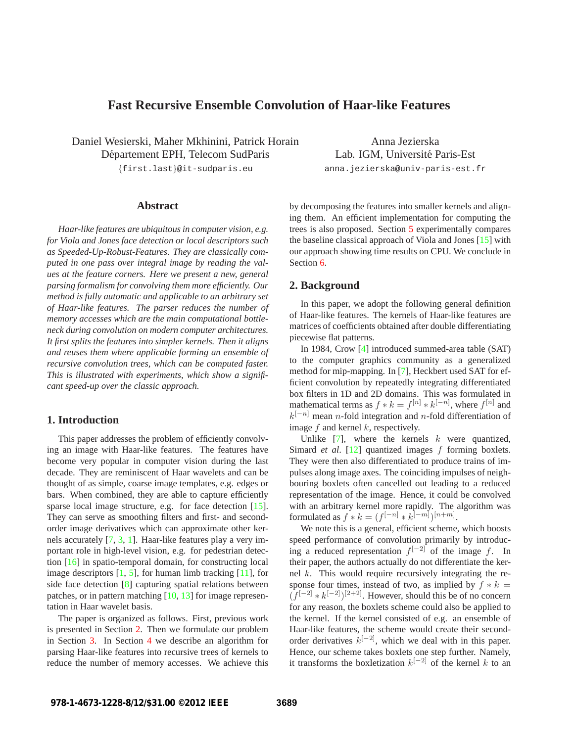# **Fast Recursive Ensemble Convolution of Haar-like Features**

Daniel Wesierski, Maher Mkhinini, Patrick Horain Département EPH, Telecom SudParis

{first.last}@it-sudparis.eu

### **Abstract**

*Haar-like features are ubiquitous in computer vision, e.g. for Viola and Jones face detection or local descriptors such as Speeded-Up-Robust-Features. They are classically computed in one pass over integral image by reading the values at the feature corners. Here we present a new, general parsing formalism for convolving them more efficiently. Our method is fully automatic and applicable to an arbitrary set of Haar-like features. The parser reduces the number of memory accesses which are the main computational bottleneck during convolution on modern computer architectures. It first splits the features into simpler kernels. Then it aligns and reuses them where applicable forming an ensemble of recursive convolution trees, which can be computed faster. This is illustrated with experiments, which show a significant speed-up over the classic approach.*

### **1. Introduction**

This paper addresses the problem of efficiently convolving an image with Haar-like features. The features have become very popular in computer vision during the last decade. They are reminiscent of Haar wavelets and can be thought of as simple, coarse image templates, e.g. edges or bars. When combined, they are able to capture efficiently sparse local image structure, e.g. for face detection [15]. They can serve as smoothing filters and first- and secondorder image derivatives which can approximate other kernels accurately [7, 3, 1]. Haar-like features play a very important role in high-level vision, e.g. for pedestrian detection [16] in spatio-temporal domain, for constructing local image descriptors  $[1, 5]$ , for human limb tracking  $[11]$ , for side face detection [8] capturing spatial relations between patches, or in pattern matching [10, 13] for image representation in Haar wavelet basis.

The paper is organized as follows. First, previous work is presented in Section 2. Then we formulate our problem in Section 3. In Section 4 we describe an algorithm for parsing Haar-like features into recursive trees of kernels to reduce the number of memory accesses. We achieve this by decomposing the features into smaller kernels and aligning them. An efficient implementation for computing the trees is also proposed. Section 5 experimentally compares the baseline classical approach of Viola and Jones [15] with our approach showing time results on CPU. We conclude in Section 6.

Anna Jezierska Lab. IGM, Universite Paris-Est ´ anna.jezierska@univ-paris-est.fr

### **2. Background**

In this paper, we adopt the following general definition of Haar-like features. The kernels of Haar-like features are matrices of coefficients obtained after double differentiating piecewise flat patterns.

In 1984, Crow [4] introduced summed-area table (SAT) to the computer graphics community as a generalized method for mip-mapping. In [7], Heckbert used SAT for efficient convolution by repeatedly integrating differentiated box filters in 1D and 2D domains. This was formulated in mathematical terms as  $f * k = f^{[n]} * k^{[-n]}$ , where  $f^{[n]}$  and  $k^{[-n]}$  mean *n*-fold integration and *n*-fold differentiation of image  $f$  and kernel  $k$ , respectively.

Unlike  $[7]$ , where the kernels  $k$  were quantized, Simard *et al.* [12] quantized images f forming boxlets. They were then also differentiated to produce trains of impulses along image axes. The coinciding impulses of neighbouring boxlets often cancelled out leading to a reduced representation of the image. Hence, it could be convolved with an arbitrary kernel more rapidly. The algorithm was formulated as  $f * k = (f^{[-n]} * k^{[-m]})^{[n+m]}$ .

We note this is a general, efficient scheme, which boosts speed performance of convolution primarily by introducing a reduced representation  $f^{[-2]}$  of the image f. In their paper, the authors actually do not differentiate the kernel  $k$ . This would require recursively integrating the response four times, instead of two, as implied by  $f * k =$  $(f<sup>[-2]</sup> * k<sup>[-2]</sup>)<sup>[2+2]</sup>$ . However, should this be of no concern for any reason, the boxlets scheme could also be applied to the kernel. If the kernel consisted of e.g. an ensemble of Haar-like features, the scheme would create their secondorder derivatives  $k^{[-2]}$ , which we deal with in this paper. Hence, our scheme takes boxlets one step further. Namely, it transforms the boxletization  $k^{[-2]}$  of the kernel k to an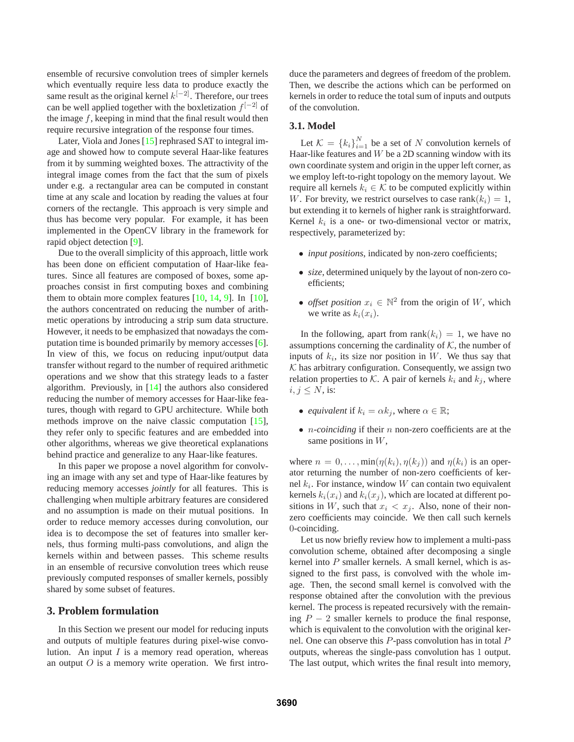ensemble of recursive convolution trees of simpler kernels which eventually require less data to produce exactly the same result as the original kernel  $k^{[-2]}$ . Therefore, our trees can be well applied together with the boxletization  $f^{[-2]}$  of the image  $f$ , keeping in mind that the final result would then require recursive integration of the response four times.

Later, Viola and Jones [15] rephrased SAT to integral image and showed how to compute several Haar-like features from it by summing weighted boxes. The attractivity of the integral image comes from the fact that the sum of pixels under e.g. a rectangular area can be computed in constant time at any scale and location by reading the values at four corners of the rectangle. This approach is very simple and thus has become very popular. For example, it has been implemented in the OpenCV library in the framework for rapid object detection [9].

Due to the overall simplicity of this approach, little work has been done on efficient computation of Haar-like features. Since all features are composed of boxes, some approaches consist in first computing boxes and combining them to obtain more complex features [10, 14, 9]. In [10], the authors concentrated on reducing the number of arithmetic operations by introducing a strip sum data structure. However, it needs to be emphasized that nowadays the computation time is bounded primarily by memory accesses [6]. In view of this, we focus on reducing input/output data transfer without regard to the number of required arithmetic operations and we show that this strategy leads to a faster algorithm. Previously, in  $[14]$  the authors also considered reducing the number of memory accesses for Haar-like features, though with regard to GPU architecture. While both methods improve on the naive classic computation [15], they refer only to specific features and are embedded into other algorithms, whereas we give theoretical explanations behind practice and generalize to any Haar-like features.

In this paper we propose a novel algorithm for convolving an image with any set and type of Haar-like features by reducing memory accesses *jointly* for all features. This is challenging when multiple arbitrary features are considered and no assumption is made on their mutual positions. In order to reduce memory accesses during convolution, our idea is to decompose the set of features into smaller kernels, thus forming multi-pass convolutions, and align the kernels within and between passes. This scheme results in an ensemble of recursive convolution trees which reuse previously computed responses of smaller kernels, possibly shared by some subset of features.

### **3. Problem formulation**

In this Section we present our model for reducing inputs and outputs of multiple features during pixel-wise convolution. An input  $I$  is a memory read operation, whereas an output  $O$  is a memory write operation. We first introduce the parameters and degrees of freedom of the problem. Then, we describe the actions which can be performed on kernels in order to reduce the total sum of inputs and outputs of the convolution.

## **3.1. Model**

Let  $\mathcal{K} = \{k_i\}_{i=1}^N$  be a set of N convolution kernels of Haar-like features and  $W$  be a 2D scanning window with its own coordinate system and origin in the upper left corner, as we employ left-to-right topology on the memory layout. We require all kernels  $k_i \in \mathcal{K}$  to be computed explicitly within W. For brevity, we restrict ourselves to case rank $(k_i)=1$ , but extending it to kernels of higher rank is straightforward. Kernel  $k_i$  is a one- or two-dimensional vector or matrix, respectively, parameterized by:

- ∙ *input positions*, indicated by non-zero coefficients;
- ∙ *size*, determined uniquely by the layout of non-zero coefficients;
- *offset position*  $x_i \in \mathbb{N}^2$  from the origin of W, which we write as  $k_i(x_i)$ .

In the following, apart from rank $(k_i)=1$ , we have no assumptions concerning the cardinality of  $K$ , the number of inputs of  $k_i$ , its size nor position in W. We thus say that  $K$  has arbitrary configuration. Consequently, we assign two relation properties to  $K$ . A pair of kernels  $k_i$  and  $k_j$ , where  $i, j \leq N$ , is:

- *equivalent* if  $k_i = \alpha k_j$ , where  $\alpha \in \mathbb{R}$ ;
- *n-coinciding* if their *n* non-zero coefficients are at the same positions in  $W$ ,

where  $n = 0, \ldots, \min(\eta(k_i), \eta(k_j))$  and  $\eta(k_i)$  is an operator returning the number of non-zero coefficients of kernel  $k_i$ . For instance, window W can contain two equivalent kernels  $k_i(x_i)$  and  $k_i(x_j)$ , which are located at different positions in W, such that  $x_i < x_j$ . Also, none of their nonzero coefficients may coincide. We then call such kernels 0-coinciding.

Let us now briefly review how to implement a multi-pass convolution scheme, obtained after decomposing a single kernel into  $P$  smaller kernels. A small kernel, which is assigned to the first pass, is convolved with the whole image. Then, the second small kernel is convolved with the response obtained after the convolution with the previous kernel. The process is repeated recursively with the remaining  $P - 2$  smaller kernels to produce the final response, which is equivalent to the convolution with the original kernel. One can observe this  $P$ -pass convolution has in total  $P$ outputs, whereas the single-pass convolution has 1 output. The last output, which writes the final result into memory,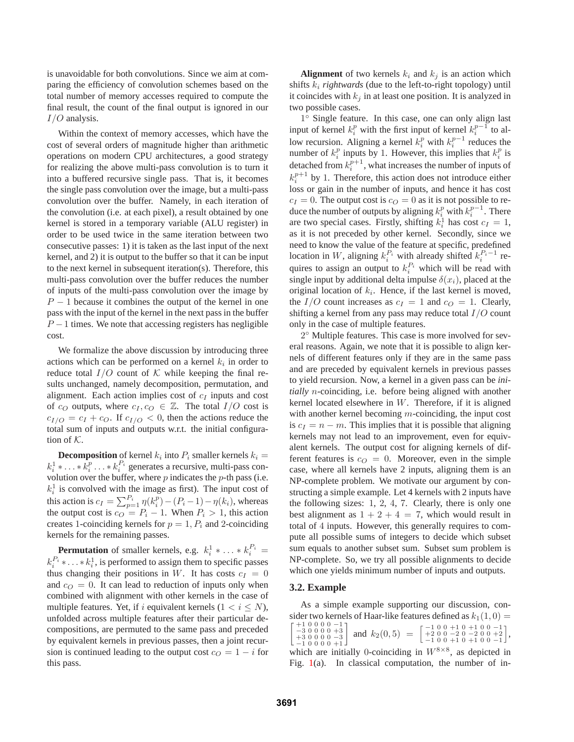is unavoidable for both convolutions. Since we aim at comparing the efficiency of convolution schemes based on the total number of memory accesses required to compute the final result, the count of the final output is ignored in our  $I/O$  analysis.

Within the context of memory accesses, which have the cost of several orders of magnitude higher than arithmetic operations on modern CPU architectures, a good strategy for realizing the above multi-pass convolution is to turn it into a buffered recursive single pass. That is, it becomes the single pass convolution over the image, but a multi-pass convolution over the buffer. Namely, in each iteration of the convolution (i.e. at each pixel), a result obtained by one kernel is stored in a temporary variable (ALU register) in order to be used twice in the same iteration between two consecutive passes: 1) it is taken as the last input of the next kernel, and 2) it is output to the buffer so that it can be input to the next kernel in subsequent iteration(s). Therefore, this multi-pass convolution over the buffer reduces the number of inputs of the multi-pass convolution over the image by  $P-1$  because it combines the output of the kernel in one pass with the input of the kernel in the next pass in the buffer  $P-1$  times. We note that accessing registers has negligible cost.

We formalize the above discussion by introducing three actions which can be performed on a kernel  $k_i$  in order to reduce total  $I/O$  count of K while keeping the final results unchanged, namely decomposition, permutation, and alignment. Each action implies cost of  $c_I$  inputs and cost of  $c_O$  outputs, where  $c_I, c_O \in \mathbb{Z}$ . The total  $I/O$  cost is  $c_{I/O} = c_I + c_O$ . If  $c_{I/O} < 0$ , then the actions reduce the total sum of inputs and outputs w.r.t. the initial configuration of  $K$ .

**Decomposition** of kernel  $k_i$  into  $P_i$  smaller kernels  $k_i =$  $k_i^1 * \dots * \overline{k_i^p \dots * k_i^{P_i}}$  generates a recursive, multi-pass convolution over the buffer, where  $p$  indicates the  $p$ -th pass (i.e.  $k_i^1$  is convolved with the image as first). The input cost of this action is  $c_I = \sum_{p=1}^{P_i} \eta(k_i^p) - (P_i - 1) - \eta(k_i)$ , whereas the output cost is  $c_O = P_i - 1$ . When  $P_i > 1$ , this action creates 1-coinciding kernels for  $p = 1, P_i$  and 2-coinciding kernels for the remaining passes.

**Permutation** of smaller kernels, e.g.  $k_i^1 * \ldots * k_i^{P_i} =$  $k_i^{P_i} * \ldots * k_i^1$ , is performed to assign them to specific passes thus changing their positions in W. It has costs  $c_I = 0$ and  $c<sub>O</sub> = 0$ . It can lead to reduction of inputs only when combined with alignment with other kernels in the case of multiple features. Yet, if *i* equivalent kernels  $(1 \lt i \leq N)$ , unfolded across multiple features after their particular decompositions, are permuted to the same pass and preceded by equivalent kernels in previous passes, then a joint recursion is continued leading to the output cost  $c<sub>O</sub> = 1 - i$  for this pass.

**Alignment** of two kernels  $k_i$  and  $k_j$  is an action which shifts  $k_i$  rightwards (due to the left-to-right topology) until it coincides with  $k_i$  in at least one position. It is analyzed in two possible cases.

1<sup>∘</sup> Single feature. In this case, one can only align last input of kernel  $k_i^p$  with the first input of kernel  $k_i^{p-1}$  to allow recursion. Aligning a kernel  $k_i^p$  with  $k_i^{p-1}$  reduces the number of  $k_i^p$  inputs by 1. However, this implies that  $k_i^p$  is detached from  $k_i^{p+1}$ , what increases the number of inputs of  $k_i^{p+1}$  by 1. Therefore, this action does not introduce either loss or gain in the number of inputs, and hence it has cost  $c_I = 0$ . The output cost is  $c_O = 0$  as it is not possible to reduce the number of outputs by aligning  $k_i^p$  with  $k_i^{p-1}$ . There are two special cases. Firstly, shifting  $k_i^1$  has cost  $c_I = 1$ , as it is not preceded by other kernel. Secondly, since we need to know the value of the feature at specific, predefined location in W, aligning  $k_i^{P_i}$  with already shifted  $k_i^{P_i-1}$  requires to assign an output to  $k_i^{P_i}$  which will be read with single input by additional delta impulse  $\delta(x_i)$ , placed at the original location of  $k_i$ . Hence, if the last kernel is moved, the  $I/O$  count increases as  $c_I = 1$  and  $c_O = 1$ . Clearly, shifting a kernel from any pass may reduce total  $I/O$  count only in the case of multiple features.

2<sup>∘</sup> Multiple features. This case is more involved for several reasons. Again, we note that it is possible to align kernels of different features only if they are in the same pass and are preceded by equivalent kernels in previous passes to yield recursion. Now, a kernel in a given pass can be *ini*tially *n*-coinciding, i.e. before being aligned with another kernel located elsewhere in  $W$ . Therefore, if it is aligned with another kernel becoming  $m$ -coinciding, the input cost is  $c_I = n - m$ . This implies that it is possible that aligning kernels may not lead to an improvement, even for equivalent kernels. The output cost for aligning kernels of different features is  $c_O = 0$ . Moreover, even in the simple case, where all kernels have 2 inputs, aligning them is an NP-complete problem. We motivate our argument by constructing a simple example. Let 4 kernels with 2 inputs have the following sizes: 1, 2, 4, 7. Clearly, there is only one best alignment as  $1+2+4 = 7$ , which would result in total of 4 inputs. However, this generally requires to compute all possible sums of integers to decide which subset sum equals to another subset sum. Subset sum problem is NP-complete. So, we try all possible alignments to decide which one yields minimum number of inputs and outputs.

### **3.2. Example**

| As a simple example supporting our discussion, con-                                                                                                                                                                                                                                                                                                                                |
|------------------------------------------------------------------------------------------------------------------------------------------------------------------------------------------------------------------------------------------------------------------------------------------------------------------------------------------------------------------------------------|
| sider two kernels of Haar-like features defined as $k_1(1,0) =$                                                                                                                                                                                                                                                                                                                    |
| $\left[\begin{smallmatrix} +1 & 0 & 0 & 0 & 0 & -1 \\ -3 & 0 & 0 & 0 & 0 & +3 \\ +3 & 0 & 0 & 0 & 0 & -3 \\ -1 & 0 & 0 & 0 & 0 & -1 \end{smallmatrix}\right] \text{ and } k_2(0,5) \ = \ \left[\begin{smallmatrix} -1 & 0 & 0 & +1 & 0 & 0 & -1 \\ +2 & 0 & 0 & -2 & 0 & 0 & +2 \\ -1 & 0 & 0 & +1 & 0 & +1 & 0 & 0 \\ -1 & 0 & 0 & +1 & 0 & +1 & 0 & 0 \end{smallmatrix}\right],$ |
| which are initially 0-coinciding in $W^{8\times 8}$ , as depicted in                                                                                                                                                                                                                                                                                                               |
| Fig. $1(a)$ . In classical computation, the number of in-                                                                                                                                                                                                                                                                                                                          |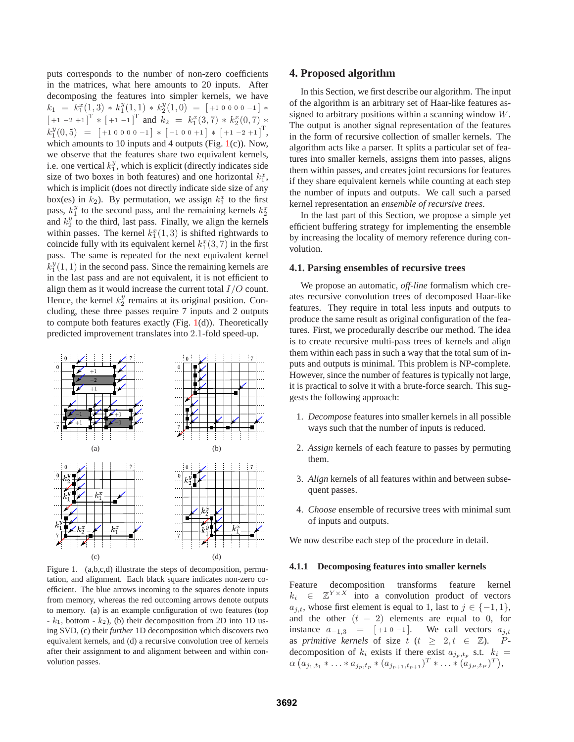puts corresponds to the number of non-zero coefficients in the matrices, what here amounts to 20 inputs. After decomposing the features into simpler kernels, we have  $k_1 = k_1^x(1,3) * k_1^y(1,1) * k_2^y(1,0) = [+1\ 0\ 0\ 0\ 0\ -1] *$  $\left[ +1 -2 +1 \right]^{T} * \left[ +1 -1 \right]^{T}$  and  $k_2 = k_1^x(3,7) * k_2^x(0,7) *$  $k_1^y(0,5) = [ +1 0 0 0 0 -1] * [-1 0 0 +1] * [+1 -2 +1]^T,$ which amounts to 10 inputs and 4 outputs (Fig.  $1(c)$ ). Now, we observe that the features share two equivalent kernels, i.e. one vertical  $k_1^y$ , which is explicit (directly indicates side size of two boxes in both features) and one horizontal  $k_1^x$ , which is implicit (does not directly indicate side size of any box(es) in  $k_2$ ). By permutation, we assign  $k_1^x$  to the first pass,  $k_1^y$  to the second pass, and the remaining kernels  $k_2^x$ and  $k_2^y$  to the third, last pass. Finally, we align the kernels within passes. The kernel  $k_1^x(1,3)$  is shifted rightwards to coincide fully with its equivalent kernel  $k_1^x(3, 7)$  in the first pass. The same is repeated for the next equivalent kernel  $\hat{k}_1^y(1, 1)$  in the second pass. Since the remaining kernels are in the last pass and are not equivalent, it is not efficient to align them as it would increase the current total  $I/O$  count. Hence, the kernel  $k_2^y$  remains at its original position. Concluding, these three passes require 7 inputs and 2 outputs to compute both features exactly (Fig.  $1(d)$ ). Theoretically predicted improvement translates into 2.1-fold speed-up.



Figure 1. (a,b,c,d) illustrate the steps of decomposition, permutation, and alignment. Each black square indicates non-zero coefficient. The blue arrows incoming to the squares denote inputs from memory, whereas the red outcoming arrows denote outputs to memory. (a) is an example configuration of two features (top  $-k_1$ , bottom  $-k_2$ ), (b) their decomposition from 2D into 1D using SVD, (c) their *further* 1D decomposition which discovers two equivalent kernels, and (d) a recursive convolution tree of kernels after their assignment to and alignment between and within convolution passes.

### **4. Proposed algorithm**

In this Section, we first describe our algorithm. The input of the algorithm is an arbitrary set of Haar-like features assigned to arbitrary positions within a scanning window  $W$ . The output is another signal representation of the features in the form of recursive collection of smaller kernels. The algorithm acts like a parser. It splits a particular set of features into smaller kernels, assigns them into passes, aligns them within passes, and creates joint recursions for features if they share equivalent kernels while counting at each step the number of inputs and outputs. We call such a parsed kernel representation an *ensemble of recursive trees*.

In the last part of this Section, we propose a simple yet efficient buffering strategy for implementing the ensemble by increasing the locality of memory reference during convolution.

### **4.1. Parsing ensembles of recursive trees**

We propose an automatic, *off-line* formalism which creates recursive convolution trees of decomposed Haar-like features. They require in total less inputs and outputs to produce the same result as original configuration of the features. First, we procedurally describe our method. The idea is to create recursive multi-pass trees of kernels and align them within each pass in such a way that the total sum of inputs and outputs is minimal. This problem is NP-complete. However, since the number of features is typically not large, it is practical to solve it with a brute-force search. This suggests the following approach:

- 1. *Decompose* features into smaller kernels in all possible ways such that the number of inputs is reduced.
- 2. *Assign* kernels of each feature to passes by permuting them.
- 3. *Align* kernels of all features within and between subsequent passes.
- 4. *Choose* ensemble of recursive trees with minimal sum of inputs and outputs.

We now describe each step of the procedure in detail.

### **4.1.1 Decomposing features into smaller kernels**

Feature decomposition transforms feature kernel  $k_i \in \mathbb{Z}^{Y \times X}$  into a convolution product of vectors  $a_{i,t}$ , whose first element is equal to 1, last to  $j \in \{-1,1\}$ , and the other  $(t - 2)$  elements are equal to 0, for instance  $a_{-1,3} = \begin{bmatrix} +1 & 0 & -1 \end{bmatrix}$ . We call vectors  $a_{i,t}$ as *primitive kernels* of size  $t$   $(t \geq 2, t \in \mathbb{Z})$ . Pdecomposition of  $k_i$  exists if there exist  $a_{j_p,t_p}$  s.t.  $k_i =$  $\alpha\left(a_{j_1,t_1}\ast\ldots\ast a_{j_p,t_p}\ast(a_{j_{p+1},t_{p+1}})^T\ast\ldots\ast(a_{j_P,t_P})^T\right),$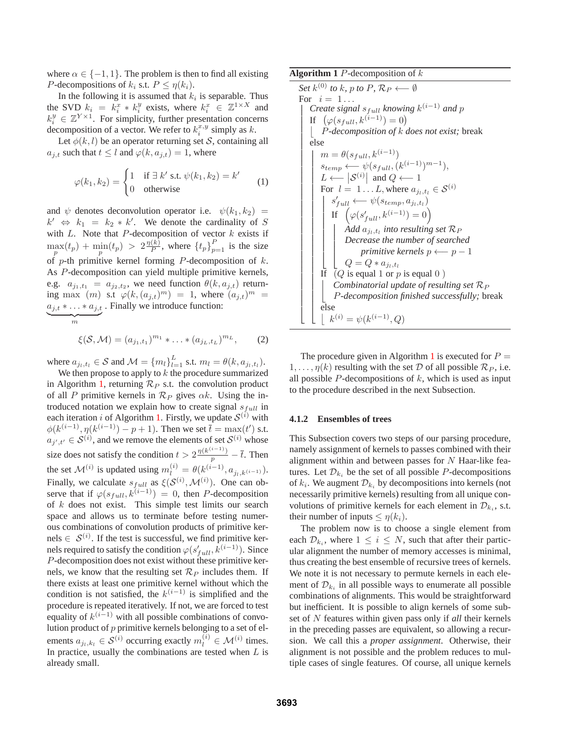where  $\alpha \in \{-1, 1\}$ . The problem is then to find all existing P-decompositions of  $k_i$  s.t.  $P \leq \eta(k_i)$ .

In the following it is assumed that  $k_i$  is separable. Thus the SVD  $k_i = k_i^x * k_i^y$  exists, where  $k_i^x \in \mathbb{Z}^{1 \times X}$  and  $k_i^y \in \mathbb{Z}^{Y \times 1}$ . For simplicity, further presentation concerns decomposition of a vector. We refer to  $k_i^{x,y}$  simply as k.

Let  $\phi(k,l)$  be an operator returning set S, containing all  $a_{i,t}$  such that  $t \leq l$  and  $\varphi(k, a_{i,t})=1$ , where

$$
\varphi(k_1, k_2) = \begin{cases} 1 & \text{if } \exists k' \text{ s.t. } \psi(k_1, k_2) = k' \\ 0 & \text{otherwise} \end{cases}
$$
 (1)

and  $\psi$  denotes deconvolution operator i.e.  $\psi(k_1, k_2)$  =  $k' \Leftrightarrow k_1 = k_2 * k'$ . We denote the cardinality of S with  $L$ . Note that  $P$ -decomposition of vector  $k$  exists if  $\max_{p}(t_p) + \min_{p}(t_p) > 2\frac{\eta(k)}{P}$ , where  $\{t_p\}_{p=1}^P$  is the size of  $p$ -th primitive kernel forming P-decomposition of  $k$ . As P-decomposition can yield multiple primitive kernels, e.g.  $a_{j_1,t_1} = a_{j_2,t_2}$ , we need function  $\theta(k, a_{j,t})$  returning max  $(m)$  s.t  $\varphi(k,(a_{j,t})^m) = 1$ , where  $(a_{j,t})^m =$  $a_{j,t} * \ldots * a_{j,t}$ . Finally we introduce function: Ī  $\overbrace{m}$ 

$$
\xi(\mathcal{S},\mathcal{M}) = (a_{j_1,t_1})^{m_1} * \dots * (a_{j_L,t_L})^{m_L}, \qquad (2)
$$

where  $a_{j_l,t_l} \in S$  and  $\mathcal{M} = \{m_l\}_{l=1}^L$  s.t.  $m_l = \theta(k, a_{j_l,t_l})$ .

We then propose to apply to  $k$  the procedure summarized in Algorithm 1, returning  $\mathcal{R}_P$  s.t. the convolution product of all P primitive kernels in  $\mathcal{R}_P$  gives  $\alpha k$ . Using the introduced notation we explain how to create signal  $s_{full}$  in each iteration *i* of Algorithm 1. Firstly, we update  $S^{(i)}$  with  $\phi(k^{(i-1)}, \eta(k^{(i-1)}) - p + 1)$ . Then we set  $\bar{t} = \max(t')$  s.t.  $a_{j',t'} \in \mathcal{S}^{(i)}$ , and we remove the elements of set  $\mathcal{S}^{(i)}$  whose size does not satisfy the condition  $t > 2\frac{\eta(k^{(i-1)})}{p} - \overline{t}$ . Then the set  $\mathcal{M}^{(i)}$  is updated using  $m_l^{(i)} = \theta(k^{(i-1)}, a_{j_l, k^{(i-1)}})$ . Finally, we calculate  $s_{full}$  as  $\xi(\mathcal{S}^{(i)},\mathcal{M}^{(i)})$ . One can observe that if  $\varphi(s_{full}, k^{(i-1)})=0$ , then P-decomposition of  $k$  does not exist. This simple test limits our search space and allows us to terminate before testing numerous combinations of convolution products of primitive kernels  $\in S^{(i)}$ . If the test is successful, we find primitive kernels required to satisfy the condition  $\varphi(s'_{full}, k^{(i-1)})$ . Since  $P$ -decomposition does not exist without these primitive kernels, we know that the resulting set  $\mathcal{R}_P$  includes them. If there exists at least one primitive kernel without which the condition is not satisfied, the  $k^{(i-1)}$  is simplified and the procedure is repeated iteratively. If not, we are forced to test equality of  $k^{(i-1)}$  with all possible combinations of convolution product of  $p$  primitive kernels belonging to a set of elements  $a_{j_l,k_l} \in \mathcal{S}^{(i)}$  occurring exactly  $m_l^{(i)} \in \mathcal{M}^{(i)}$  times. In practice, usually the combinations are tested when  $L$  is already small.

**Algorithm 1**  $P$ -decomposition of  $k$ 

*Set*  $k^{(0)}$  *to*  $k$ ,  $p$  *to*  $P$ ,  $\mathcal{R}_P \longleftarrow \emptyset$  $\overline{\phantom{a}}$ For  $i = 1...$  $\overline{\phantom{a}}$  $\overline{\phantom{a}}$  $\overline{\phantom{a}}$  $\overline{\phantom{a}}$  $\overline{\phantom{a}}$  $\overline{\phantom{a}}$  $\overline{\phantom{a}}$  $\overline{\phantom{a}}$  $\overline{\phantom{a}}$  $\overline{\phantom{a}}$  $\overline{\phantom{a}}$  $\overline{\phantom{a}}$  $\overline{\phantom{a}}$  $\overline{\phantom{a}}$  $\frac{1}{2}$  $\overline{1}$  $\overline{\phantom{a}}$  $\overline{\phantom{a}}$  $\overline{\phantom{a}}$  $\overline{\phantom{a}}$  $\overline{\phantom{a}}$  $\overline{\phantom{a}}$  $\overline{\phantom{a}}$  $\overline{\phantom{a}}$  $\overline{\phantom{a}}$  $\overline{\phantom{a}}$  $\overline{\phantom{a}}$  $\overline{\phantom{a}}$  $\overline{\phantom{a}}$  $\overline{\phantom{a}}$  $\overline{\phantom{a}}$  $\overline{\phantom{a}}$  $\frac{1}{2}$  $\overline{1}$  $\overline{\phantom{a}}$  $\overline{\phantom{a}}$ *Create signal*  $s_{full}$  *knowing*  $k^{(i-1)}$  *and*  $p$ If  $(\varphi(s_{full}, k^{(i-1)})=0)$ ⌊ *-decomposition of does not exist;* break else  $\overline{\phantom{a}}$  $\overline{\phantom{a}}$  $\overline{\phantom{a}}$  $\overline{\phantom{a}}$  $\overline{\phantom{a}}$  $\overline{\phantom{a}}$  $\overline{\phantom{a}}$  $\overline{\phantom{a}}$  $\overline{\phantom{a}}$  $\overline{\phantom{a}}$  $\overline{\phantom{a}}$  $\overline{\phantom{a}}$  $\overline{\phantom{a}}$  $\frac{1}{2}$  $\overline{1}$  $\overline{\phantom{a}}$  $\overline{\phantom{a}}$  $\overline{\phantom{a}}$  $\overline{\phantom{a}}$  $\overline{\phantom{a}}$  $\overline{\phantom{a}}$  $\overline{\phantom{a}}$  $\overline{\phantom{a}}$  $\overline{\phantom{a}}$  $\overline{\phantom{a}}$  $\overline{\phantom{a}}$  $\overline{\phantom{a}}$  $\overline{\phantom{a}}$  $\overline{a}$  $m = \theta(s_{full}, k^{(i-1)})$  $s_{temp} \longleftarrow \psi(s_{full}, (k^{(i-1)})^{m-1}),$  $L \leftarrow |\mathcal{S}^{(i)}|$  and  $Q \leftarrow 1$ For  $l = 1...L$ , where  $a_{j_l,t_l} \in S^{(i)}$  $\blacksquare$  $\overline{\phantom{a}}$  $\overline{\phantom{a}}$  $\overline{\phantom{a}}$  $\overline{\phantom{a}}$  $\overline{\phantom{a}}$  $s'_{full} \longleftarrow \psi(s_{temp}, a_{j_l, t_l})$ If  $\left(\varphi(s'_{full}, k^{(i-1)})=0\right)$  $\overline{\phantom{a}}$  $\overline{\phantom{a}}$  $\overline{\phantom{a}}$  $\overline{\phantom{a}}$  $\overline{\phantom{a}}$  $\overline{\phantom{a}}$ *Add*  $a_{j_l,t_l}$  *into resulting set*  $\mathcal{R}_P$ *Decrease the number of searched primitive kernels*  $p \leftarrow p-1$  $Q = Q * a_{j_l, t_l}$ If  $\overline{Q}$  is equal 1 or p is equal 0 ) Combinatorial update of resulting set  $\mathcal{R}_P$ *-decomposition finished successfully;* break else  $k^{(i)} = \psi(k^{(i-1)}, Q)$ 

The procedure given in Algorithm 1 is executed for  $P =$  $1,\ldots,\eta(k)$  resulting with the set  $\mathcal D$  of all possible  $\mathcal R_P$ , i.e. all possible  $P$ -decompositions of  $k$ , which is used as input to the procedure described in the next Subsection.

#### **4.1.2 Ensembles of trees**

This Subsection covers two steps of our parsing procedure, namely assignment of kernels to passes combined with their alignment within and between passes for  $N$  Haar-like features. Let  $\mathcal{D}_{k_i}$  be the set of all possible P-decompositions of  $k_i$ . We augment  $\mathcal{D}_{k_i}$  by decompositions into kernels (not necessarily primitive kernels) resulting from all unique convolutions of primitive kernels for each element in  $\mathcal{D}_{k_i}$ , s.t. their number of inputs  $\leq \eta(k_i)$ .

The problem now is to choose a single element from each  $\mathcal{D}_{k_i}$ , where  $1 \leq i \leq N$ , such that after their particular alignment the number of memory accesses is minimal, thus creating the best ensemble of recursive trees of kernels. We note it is not necessary to permute kernels in each element of  $\mathcal{D}_{k_i}$  in all possible ways to enumerate all possible combinations of alignments. This would be straightforward but inefficient. It is possible to align kernels of some subset of N features within given pass only if *all* their kernels in the preceding passes are equivalent, so allowing a recursion. We call this a *proper assignment*. Otherwise, their alignment is not possible and the problem reduces to multiple cases of single features. Of course, all unique kernels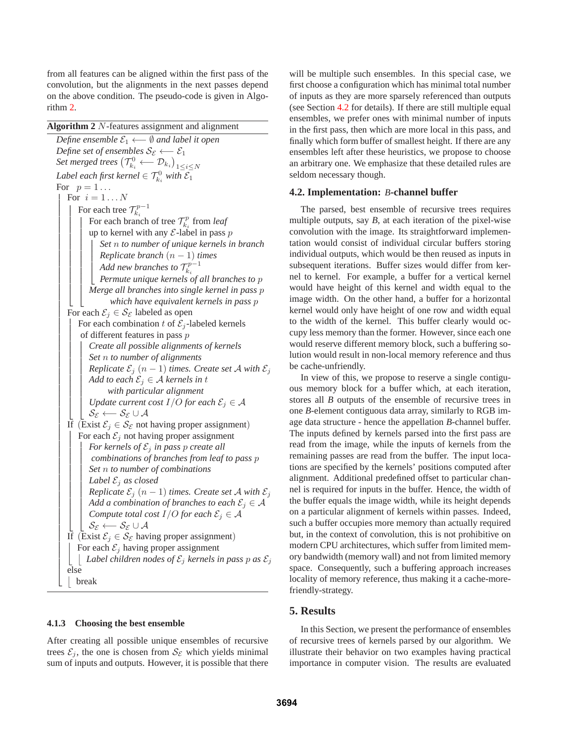from all features can be aligned within the first pass of the convolution, but the alignments in the next passes depend on the above condition. The pseudo-code is given in Algorithm 2.

*Define ensemble*  $\mathcal{E}_1 \longleftarrow$  *≬ and label it open Define set of ensembles*  $\mathcal{S}_{\varepsilon} \longleftarrow \mathcal{E}_{1}$  $\textit{Set merged trees } \big( \mathcal{T}_{k_i}^0 \longleftarrow \mathcal{D}_{k_i} \big)_{1 \leq i \leq N}$ Label each first kernel  $\in\mathcal{T}_{k_{i}}^{0}$  with  $\mathcal{E}_{1}^{0}$ For  $p=1...$  $\overline{\phantom{a}}$  $\overline{\phantom{a}}$  $\overline{\phantom{a}}$  $\overline{\phantom{a}}$  $\overline{\phantom{a}}$  $\overline{\phantom{a}}$  $\overline{\phantom{a}}$  $\overline{\phantom{a}}$  $\overline{\phantom{a}}$  $\overline{\phantom{a}}$  $\overline{\phantom{a}}$  $\overline{\phantom{a}}$  $\overline{\phantom{a}}$  $\overline{\phantom{a}}$  $\frac{1}{2}$  $\overline{1}$  $\overline{\phantom{a}}$  $\overline{\phantom{a}}$  $\overline{\phantom{a}}$  $\overline{\phantom{a}}$  $\overline{\phantom{a}}$  $\overline{\phantom{a}}$  $\overline{\phantom{a}}$  $\overline{\phantom{a}}$  $\overline{\phantom{a}}$  $\overline{\phantom{a}}$  $\overline{\phantom{a}}$  $\overline{\phantom{a}}$  $\overline{\phantom{a}}$  $\overline{\phantom{a}}$  $\overline{\phantom{a}}$  $\overline{\phantom{a}}$  $\overline{\phantom{a}}$  $\frac{1}{2}$  $\overline{1}$  $\overline{\phantom{a}}$  $\overline{\phantom{a}}$  $\overline{\phantom{a}}$  $\overline{\phantom{a}}$  $\overline{\phantom{a}}$  $\overline{\phantom{a}}$  $\overline{\phantom{a}}$  $\overline{\phantom{a}}$  $\overline{\phantom{a}}$  $\overline{\phantom{a}}$  $\overline{\phantom{a}}$  $\overline{\phantom{a}}$  $\overline{\phantom{a}}$  $\overline{\phantom{a}}$  $\overline{\phantom{a}}$  $\overline{\phantom{a}}$  $\frac{1}{2}$  $\overline{1}$  $\overline{\phantom{a}}$  $\overline{\phantom{a}}$  $\overline{\phantom{a}}$  $\overline{\phantom{a}}$  $\overline{\phantom{a}}$  $\overline{\phantom{a}}$  $\overline{\phantom{a}}$  $\overline{\phantom{a}}$  $\overline{\phantom{a}}$  $\overline{\phantom{a}}$  $\overline{\phantom{a}}$  $\overline{\phantom{a}}$  $\overline{\phantom{a}}$  $\overline{\phantom{a}}$  $\overline{a}$ For  $\,i=1\ldots N\,$  $\overline{\phantom{a}}$  $\overline{\phantom{a}}$  $\overline{\phantom{a}}$  $\overline{\phantom{a}}$  $\overline{\phantom{a}}$  $\overline{\phantom{a}}$  $\overline{\phantom{a}}$  $\overline{\phantom{a}}$  $\overline{\phantom{a}}$  $\overline{\phantom{a}}$  $\overline{\phantom{a}}$  $\overline{\phantom{a}}$  $\overline{\phantom{a}}$  $\overline{\phantom{a}}$  $\overline{\phantom{a}}$  $\overline{\phantom{a}}$ For each tree  $\mathcal{T}_{k_i}^{p-1}$ For each tree  $r_{k_i}$ For each branch of tree  $\mathcal{T}_{k_i}^p$  from *leaf*  $\overline{1}$  $\overline{\phantom{a}}$  $\overline{\phantom{a}}$  $\overline{\phantom{a}}$  $\overline{\phantom{a}}$  $\overline{\phantom{a}}$  $\overline{\phantom{a}}$  $\overline{\phantom{a}}$  $\overline{\phantom{a}}$  $\overline{\phantom{a}}$  $\overline{\phantom{a}}$  $\overline{\phantom{a}}$ up to kernel with any  $\mathcal E$ -label in pass  $p$  $\overline{\phantom{a}}$  $\overline{\phantom{a}}$  $\overline{\phantom{a}}$  $\overline{\phantom{a}}$  $\overline{\phantom{a}}$  $\overline{\phantom{a}}$ *Set to number of unique kernels in branch Replicate branch*  $(n - 1)$  *times* Add new branches to  $\mathcal{T}_{k_i}^{p-1}$ *Permute unique kernels of all branches to Merge all branches into single kernel in pass which have equivalent kernels in pass* For each  $\mathcal{E}_i \in \mathcal{S}_{\mathcal{E}}$  labeled as open  $\overline{\phantom{a}}$  $\overline{\phantom{a}}$  $\overline{\phantom{a}}$  $\overline{\phantom{a}}$  $\overline{\phantom{a}}$  $\frac{1}{2}$  $\overline{1}$  $\overline{\phantom{a}}$  $\overline{\phantom{a}}$  $\overline{\phantom{a}}$  $\overline{\phantom{a}}$  $\overline{\phantom{a}}$  $\overline{\phantom{a}}$  $\overline{\phantom{a}}$  $\overline{\phantom{a}}$  $\overline{a}$ For each combination t of  $\mathcal{E}_j$ -labeled kernels of different features in pass  $p$  $\overline{\phantom{a}}$  $\frac{1}{2}$  $\overline{1}$  $\overline{\phantom{a}}$  $\overline{\phantom{a}}$  $\overline{\phantom{a}}$  $\overline{\phantom{a}}$  $\overline{\phantom{a}}$  $\overline{\phantom{a}}$  $\overline{\phantom{a}}$  $\overline{\phantom{a}}$  $\overline{a}$ *Create all possible alignments of kernels Set to number of alignments Replicate*  $\mathcal{E}_j$   $(n-1)$  *times. Create set A with*  $\mathcal{E}_j$ *Add to each*  $\mathcal{E}_j \in \mathcal{A}$  kernels in t *with particular alignment Update current cost*  $I/O$  for each  $\mathcal{E}_i \in \mathcal{A}$  $\mathcal{S}_{\mathcal{E}} \longleftarrow \mathcal{S}_{\mathcal{E}} \cup \mathcal{A}$ If (Exist  $\mathcal{E}_j \in \mathcal{S}_{\mathcal{E}}$  not having proper assignment)  $\overline{\phantom{a}}$  $\overline{\phantom{a}}$  $\frac{1}{2}$  $\overline{1}$  $\overline{\phantom{a}}$  $\overline{\phantom{a}}$  $\overline{\phantom{a}}$  $\overline{\phantom{a}}$  $\overline{\phantom{a}}$  $\overline{\phantom{a}}$  $\overline{\phantom{a}}$  $\overline{\phantom{a}}$  $\overline{\phantom{a}}$  $\overline{\phantom{a}}$  $\overline{\phantom{a}}$  $\overline{\phantom{a}}$ For each  $\mathcal{E}_i$  not having proper assignment  $\overline{\phantom{a}}$  $\overline{1}$  $\overline{\phantom{a}}$  $\overline{\phantom{a}}$  $\overline{\phantom{a}}$  $\overline{\phantom{a}}$  $\overline{\phantom{a}}$  $\overline{\phantom{a}}$  $\overline{\phantom{a}}$  $\overline{\phantom{a}}$  $\overline{\phantom{a}}$  $\overline{\phantom{a}}$  $\overline{\phantom{a}}$  $\overline{\phantom{a}}$ *For kernels of*  $\mathcal{E}_i$  *in pass p create all combinations of branches from leaf to pass Set to number of combinations Label*  $\mathcal{E}_i$  *as closed Replicate*  $\mathcal{E}_j$   $(n-1)$  *times. Create set A with*  $\mathcal{E}_j$ *Add a combination of branches to each*  $\mathcal{E}_j \in \mathcal{A}$ *Compute total cost*  $I/O$  *for each*  $\mathcal{E}_j \in \mathcal{A}$  $\mathcal{S}_{\mathcal{E}} \longleftarrow \mathcal{S}_{\mathcal{E}} \cup \mathcal{A}$ If (Exist  $\mathcal{E}_j \in \mathcal{S}_{\mathcal{E}}$  having proper assignment) For each  $\mathcal{E}_i$  having proper assignment *Label children nodes of*  $\mathcal{E}_i$  *kernels in pass p as*  $\mathcal{E}_i$ else ⌊ break

### **4.1.3 Choosing the best ensemble**

After creating all possible unique ensembles of recursive trees  $\mathcal{E}_i$ , the one is chosen from  $\mathcal{S}_{\varepsilon}$  which yields minimal sum of inputs and outputs. However, it is possible that there will be multiple such ensembles. In this special case, we first choose a configuration which has minimal total number of inputs as they are more sparsely referenced than outputs (see Section 4.2 for details). If there are still multiple equal ensembles, we prefer ones with minimal number of inputs in the first pass, then which are more local in this pass, and finally which form buffer of smallest height. If there are any ensembles left after these heuristics, we propose to choose an arbitrary one. We emphasize that these detailed rules are seldom necessary though.

#### **4.2. Implementation:** *B***-channel buffer**

The parsed, best ensemble of recursive trees requires multiple outputs, say  $B$ , at each iteration of the pixel-wise convolution with the image. Its straightforward implementation would consist of individual circular buffers storing individual outputs, which would be then reused as inputs in subsequent iterations. Buffer sizes would differ from kernel to kernel. For example, a buffer for a vertical kernel would have height of this kernel and width equal to the image width. On the other hand, a buffer for a horizontal kernel would only have height of one row and width equal to the width of the kernel. This buffer clearly would occupy less memory than the former. However, since each one would reserve different memory block, such a buffering solution would result in non-local memory reference and thus be cache-unfriendly.

In view of this, we propose to reserve a single contiguous memory block for a buffer which, at each iteration, stores all *B* outputs of the ensemble of recursive trees in one *B*-element contiguous data array, similarly to RGB image data structure - hence the appellation *B*-channel buffer. The inputs defined by kernels parsed into the first pass are read from the image, while the inputs of kernels from the remaining passes are read from the buffer. The input locations are specified by the kernels' positions computed after alignment. Additional predefined offset to particular channel is required for inputs in the buffer. Hence, the width of the buffer equals the image width, while its height depends on a particular alignment of kernels within passes. Indeed, such a buffer occupies more memory than actually required but, in the context of convolution, this is not prohibitive on modern CPU architectures, which suffer from limited memory bandwidth (memory wall) and not from limited memory space. Consequently, such a buffering approach increases locality of memory reference, thus making it a cache-morefriendly-strategy.

### **5. Results**

In this Section, we present the performance of ensembles of recursive trees of kernels parsed by our algorithm. We illustrate their behavior on two examples having practical importance in computer vision. The results are evaluated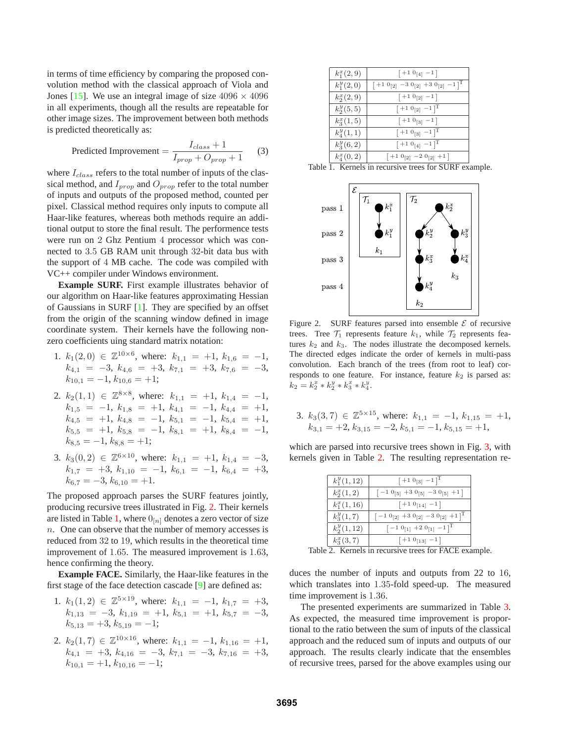in terms of time efficiency by comparing the proposed convolution method with the classical approach of Viola and Jones [15]. We use an integral image of size  $4096 \times 4096$ in all experiments, though all the results are repeatable for other image sizes. The improvement between both methods is predicted theoretically as:

Predicted Improvement = 
$$
\frac{I_{class} + 1}{I_{prop} + O_{prop} + 1}
$$
 (3)

where  $I_{class}$  refers to the total number of inputs of the classical method, and  $I_{prop}$  and  $O_{prop}$  refer to the total number of inputs and outputs of the proposed method, counted per pixel. Classical method requires only inputs to compute all Haar-like features, whereas both methods require an additional output to store the final result. The performence tests were run on 2 Ghz Pentium 4 processor which was connected to 3.5 GB RAM unit through 32-bit data bus with the support of 4 MB cache. The code was compiled with VC++ compiler under Windows environment.

**Example SURF.** First example illustrates behavior of our algorithm on Haar-like features approximating Hessian of Gaussians in SURF [1]. They are specified by an offset from the origin of the scanning window defined in image coordinate system. Their kernels have the following nonzero coefficients uing standard matrix notation:

- 1.  $k_1(2, 0) \in \mathbb{Z}^{10 \times 6}$ , where:  $k_{1,1} = +1$ ,  $k_{1,6} = -1$ ,  $k_{4,1} = -3, k_{4,6} = +3, k_{7,1} = +3, k_{7,6} = -3,$  $k_{10,1} = -1, k_{10,6} = +1;$
- 2.  $k_2(1,1) \in \mathbb{Z}^{8 \times 8}$ , where:  $k_{1,1} = +1$ ,  $k_{1,4} = -1$ ,  $k_{1,5} = -1, k_{1,8} = +1, k_{4,1} = -1, k_{4,4} = +1,$  $k_{4,5} = +1, k_{4,8} = -1, k_{5,1} = -1, k_{5,4} = +1,$  $k_{5,5} = +1, k_{5,8} = -1, k_{8,1} = +1, k_{8,4} = -1,$  $k_{8,5} = -1, k_{8,8} = +1;$
- 3.  $k_3(0, 2) \in \mathbb{Z}^{6 \times 10}$ , where:  $k_{1,1} = +1$ ,  $k_{1,4} = -3$ ,  $k_{1,7} = +3, k_{1,10} = -1, k_{6,1} = -1, k_{6,4} = +3,$  $k_{6,7} = -3, k_{6,10} = +1.$

The proposed approach parses the SURF features jointly, producing recursive trees illustrated in Fig. 2. Their kernels are listed in Table 1, where  $0_{[n]}$  denotes a zero vector of size  $n.$  One can observe that the number of memory accesses is reduced from 32 to 19, which results in the theoretical time improvement of 1.65. The measured improvement is 1.63, hence confirming the theory.

**Example FACE.** Similarly, the Haar-like features in the first stage of the face detection cascade [9] are defined as:

- 1.  $k_1(1, 2) \in \mathbb{Z}^{5 \times 19}$ , where:  $k_{1,1} = -1$ ,  $k_{1,7} = +3$ ,  $k_{1,13} = -3, k_{1,19} = +1, k_{5,1} = +1, k_{5,7} = -3,$  $k_{5,13} = +3, k_{5,19} = -1;$
- 2.  $k_2(1, 7) \in \mathbb{Z}^{10 \times 16}$ , where:  $k_{1,1} = -1$ ,  $k_{1,16} = +1$ ,  $k_{4,1} = +3, k_{4,16} = -3, k_{7,1} = -3, k_{7,16} = +3,$  $k_{10,1} = +1, k_{10,16} = -1;$

| $k_1^x(2,9)$ | $+10_{4}$ $-1$                                             |
|--------------|------------------------------------------------------------|
| $k_1^y(2,0)$ | $[+1 \ 0_{[2]} -3 \ 0_{[2]} +3 \ 0_{[2]} -1]$ <sup>1</sup> |
| $k_2^x(2,9)$ | $+10_{[2]}-1$                                              |
| $k_2^y(5,5)$ | $[+1 \ 0_{[2]} -1]^{1}$                                    |
| $k_3^x(1,5)$ | $ +1 \t0_{[3]}-1 $                                         |
| $k_4^y(1,1)$ | $[+1 \ 0_{3}] -1]^{1}$                                     |
| $k_3^y(6,2)$ | $[+1 \ 0_{[4]} -1]^{T}$                                    |
| $k_4^x(0,2)$ | $+10_{[2]} -20_{[2]} +1$                                   |

Table 1. Kernels in recursive trees for SURF example.



Figure 2. SURF features parsed into ensemble  $\mathcal E$  of recursive trees. Tree  $\mathcal{T}_1$  represents feature  $k_1$ , while  $\mathcal{T}_2$  represents features  $k_2$  and  $k_3$ . The nodes illustrate the decomposed kernels. The directed edges indicate the order of kernels in multi-pass convolution. Each branch of the trees (from root to leaf) corresponds to one feature. For instance, feature  $k_2$  is parsed as:  $k_2 = k_2^x * k_2^y * k_3^x * k_4^y.$ 

3. 
$$
k_3(3,7) \in \mathbb{Z}^{5 \times 15}
$$
, where:  $k_{1,1} = -1$ ,  $k_{1,15} = +1$ ,  
\n $k_{3,1} = +2$ ,  $k_{3,15} = -2$ ,  $k_{5,1} = -1$ ,  $k_{5,15} = +1$ ,

which are parsed into recursive trees shown in Fig. 3, with kernels given in Table 2. The resulting representation re-

| $k_1^y(1, 12)$ | $[+1 \ 0_{[3]} -1]^{1}$                                                             |
|----------------|-------------------------------------------------------------------------------------|
| $k_2^x(1,2)$   | $\left[-1\ 0_{\left[5\right]}+3\ 0_{\left[5\right]}-3\ 0_{\left[5\right]}+1\right]$ |
| $k_1^x(1, 16)$ | $[ +10_{[14]} -1 ]$                                                                 |
| $k_3^y(1,7)$   | $[-1 \ 0_{[2]} + 3 \ 0_{[2]} - 3 \ 0_{[2]} + 1]^{T}$                                |
| $k_2^y(1, 12)$ | $[-1 0_{1}] + 2 0_{1}] -1$ <sup>T</sup>                                             |
| $k_3^x(3,7)$   | $[+10_{[13]}-1]$                                                                    |

Table 2. Kernels in recursive trees for FACE example.

duces the number of inputs and outputs from 22 to 16, which translates into 1.35-fold speed-up. The measured time improvement is 1.36.

The presented experiments are summarized in Table 3. As expected, the measured time improvement is proportional to the ratio between the sum of inputs of the classical approach and the reduced sum of inputs and outputs of our approach. The results clearly indicate that the ensembles of recursive trees, parsed for the above examples using our